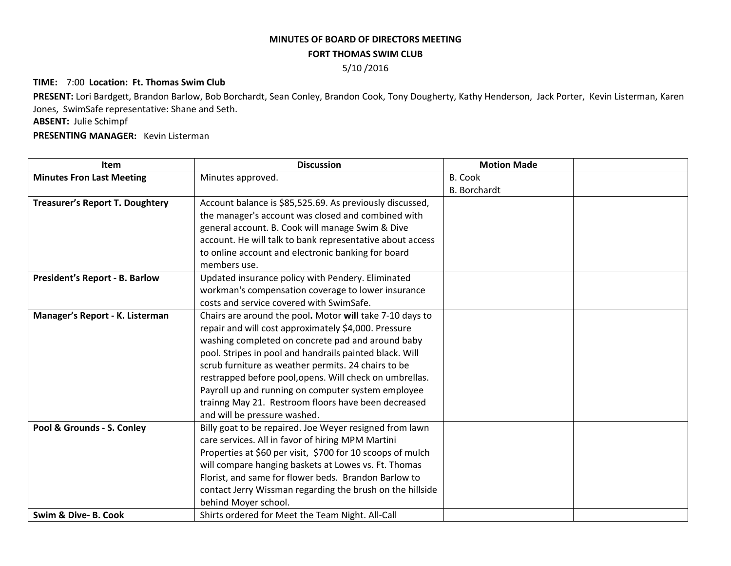## **MINUTES OF BOARD OF DIRECTORS MEETING FORT THOMAS SWIM CLUB**

5/10 /2016

## **TIME:** 7:00 **Location: Ft. Thomas Swim Club**

**PRESENT:** Lori Bardgett, Brandon Barlow, Bob Borchardt, Sean Conley, Brandon Cook, Tony Dougherty, Kathy Henderson, Jack Porter, Kevin Listerman, Karen Jones, SwimSafe representative: Shane and Seth.

**ABSENT:** Julie Schimpf

## **PRESENTING MANAGER:** Kevin Listerman

| <b>Item</b>                            | <b>Discussion</b>                                          | <b>Motion Made</b>  |  |
|----------------------------------------|------------------------------------------------------------|---------------------|--|
| <b>Minutes Fron Last Meeting</b>       | Minutes approved.                                          | <b>B. Cook</b>      |  |
|                                        |                                                            | <b>B.</b> Borchardt |  |
| <b>Treasurer's Report T. Doughtery</b> | Account balance is \$85,525.69. As previously discussed,   |                     |  |
|                                        | the manager's account was closed and combined with         |                     |  |
|                                        | general account. B. Cook will manage Swim & Dive           |                     |  |
|                                        | account. He will talk to bank representative about access  |                     |  |
|                                        | to online account and electronic banking for board         |                     |  |
|                                        | members use.                                               |                     |  |
| <b>President's Report - B. Barlow</b>  | Updated insurance policy with Pendery. Eliminated          |                     |  |
|                                        | workman's compensation coverage to lower insurance         |                     |  |
|                                        | costs and service covered with SwimSafe.                   |                     |  |
| Manager's Report - K. Listerman        | Chairs are around the pool. Motor will take 7-10 days to   |                     |  |
|                                        | repair and will cost approximately \$4,000. Pressure       |                     |  |
|                                        | washing completed on concrete pad and around baby          |                     |  |
|                                        | pool. Stripes in pool and handrails painted black. Will    |                     |  |
|                                        | scrub furniture as weather permits. 24 chairs to be        |                     |  |
|                                        | restrapped before pool, opens. Will check on umbrellas.    |                     |  |
|                                        | Payroll up and running on computer system employee         |                     |  |
|                                        | trainng May 21. Restroom floors have been decreased        |                     |  |
|                                        | and will be pressure washed.                               |                     |  |
| Pool & Grounds - S. Conley             | Billy goat to be repaired. Joe Weyer resigned from lawn    |                     |  |
|                                        | care services. All in favor of hiring MPM Martini          |                     |  |
|                                        | Properties at \$60 per visit, \$700 for 10 scoops of mulch |                     |  |
|                                        | will compare hanging baskets at Lowes vs. Ft. Thomas       |                     |  |
|                                        | Florist, and same for flower beds. Brandon Barlow to       |                     |  |
|                                        | contact Jerry Wissman regarding the brush on the hillside  |                     |  |
|                                        | behind Moyer school.                                       |                     |  |
| Swim & Dive- B. Cook                   | Shirts ordered for Meet the Team Night. All-Call           |                     |  |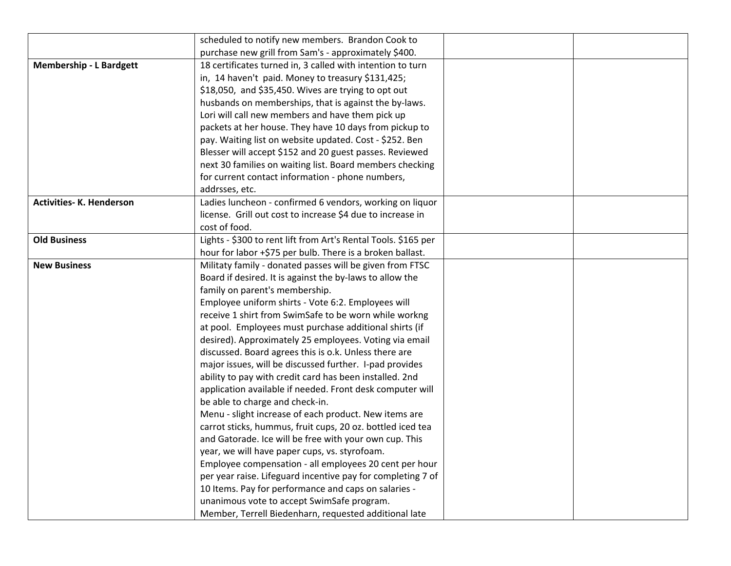|                                | scheduled to notify new members. Brandon Cook to               |  |
|--------------------------------|----------------------------------------------------------------|--|
|                                | purchase new grill from Sam's - approximately \$400.           |  |
| <b>Membership - L Bardgett</b> | 18 certificates turned in, 3 called with intention to turn     |  |
|                                | in, 14 haven't paid. Money to treasury \$131,425;              |  |
|                                | \$18,050, and \$35,450. Wives are trying to opt out            |  |
|                                | husbands on memberships, that is against the by-laws.          |  |
|                                | Lori will call new members and have them pick up               |  |
|                                | packets at her house. They have 10 days from pickup to         |  |
|                                | pay. Waiting list on website updated. Cost - \$252. Ben        |  |
|                                | Blesser will accept \$152 and 20 guest passes. Reviewed        |  |
|                                | next 30 families on waiting list. Board members checking       |  |
|                                | for current contact information - phone numbers,               |  |
|                                | addrsses, etc.                                                 |  |
| <b>Activities-K. Henderson</b> | Ladies luncheon - confirmed 6 vendors, working on liquor       |  |
|                                | license. Grill out cost to increase \$4 due to increase in     |  |
|                                | cost of food.                                                  |  |
| <b>Old Business</b>            | Lights - \$300 to rent lift from Art's Rental Tools. \$165 per |  |
|                                | hour for labor +\$75 per bulb. There is a broken ballast.      |  |
| <b>New Business</b>            | Militaty family - donated passes will be given from FTSC       |  |
|                                | Board if desired. It is against the by-laws to allow the       |  |
|                                | family on parent's membership.                                 |  |
|                                | Employee uniform shirts - Vote 6:2. Employees will             |  |
|                                | receive 1 shirt from SwimSafe to be worn while workng          |  |
|                                | at pool. Employees must purchase additional shirts (if         |  |
|                                | desired). Approximately 25 employees. Voting via email         |  |
|                                | discussed. Board agrees this is o.k. Unless there are          |  |
|                                | major issues, will be discussed further. I-pad provides        |  |
|                                | ability to pay with credit card has been installed. 2nd        |  |
|                                | application available if needed. Front desk computer will      |  |
|                                | be able to charge and check-in.                                |  |
|                                | Menu - slight increase of each product. New items are          |  |
|                                | carrot sticks, hummus, fruit cups, 20 oz. bottled iced tea     |  |
|                                | and Gatorade. Ice will be free with your own cup. This         |  |
|                                | year, we will have paper cups, vs. styrofoam.                  |  |
|                                | Employee compensation - all employees 20 cent per hour         |  |
|                                | per year raise. Lifeguard incentive pay for completing 7 of    |  |
|                                | 10 Items. Pay for performance and caps on salaries -           |  |
|                                | unanimous vote to accept SwimSafe program.                     |  |
|                                | Member, Terrell Biedenharn, requested additional late          |  |